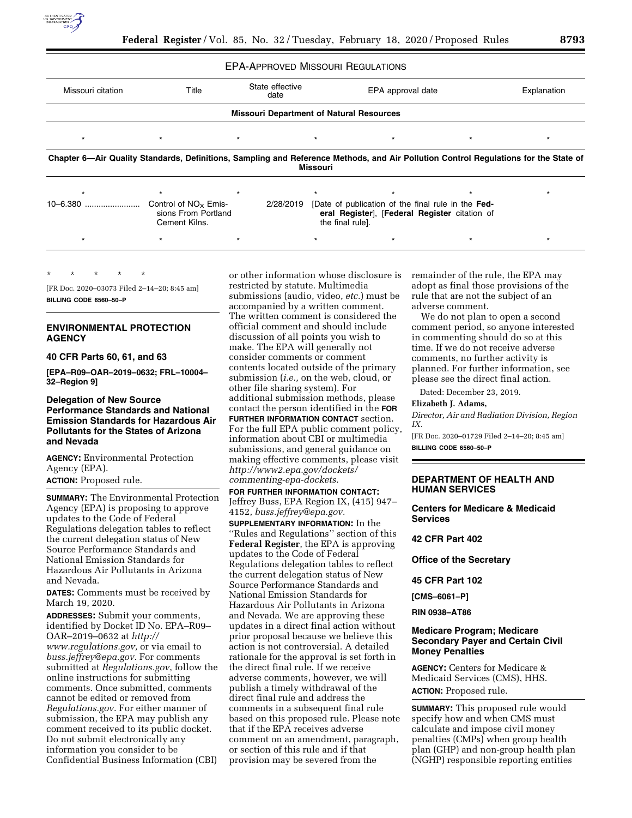

#### EPA-APPROVED MISSOURI REGULATIONS

| Missouri citation |         | Title                               | State effective<br>date |                                                              | EPA approval date | Explanation                                                                                                                          |
|-------------------|---------|-------------------------------------|-------------------------|--------------------------------------------------------------|-------------------|--------------------------------------------------------------------------------------------------------------------------------------|
|                   |         |                                     |                         | <b>Missouri Department of Natural Resources</b>              |                   |                                                                                                                                      |
| $\star$           |         | $\star$                             |                         |                                                              |                   |                                                                                                                                      |
|                   |         |                                     | <b>Missouri</b>         |                                                              |                   | Chapter 6—Air Quality Standards, Definitions, Sampling and Reference Methods, and Air Pollution Control Regulations for the State of |
|                   | $\star$ | $\star$                             | $\star$                 |                                                              |                   |                                                                                                                                      |
| 10.6290           |         | Control of $N \cap \mathbb{R}$ Emic |                         | 2/28/2010 [Data of publication of the final rule in the Ead- |                   |                                                                                                                                      |

| 10–6.380 |  | Control of $NO_x$ Emis-<br>sions From Portland<br>Cement Kilns. | [Date of publication of the final rule in the <b>Fed-</b><br>2/28/2019<br>eral Register], [Federal Register citation of<br>the final rulel. |  |  |  |  |  |
|----------|--|-----------------------------------------------------------------|---------------------------------------------------------------------------------------------------------------------------------------------|--|--|--|--|--|
|          |  |                                                                 |                                                                                                                                             |  |  |  |  |  |

\* \* \* \* \*

[FR Doc. 2020–03073 Filed 2–14–20; 8:45 am] **BILLING CODE 6560–50–P** 

# **ENVIRONMENTAL PROTECTION AGENCY**

**40 CFR Parts 60, 61, and 63** 

**[EPA–R09–OAR–2019–0632; FRL–10004– 32–Region 9]** 

## **Delegation of New Source Performance Standards and National Emission Standards for Hazardous Air Pollutants for the States of Arizona and Nevada**

**AGENCY:** Environmental Protection Agency (EPA).

**ACTION:** Proposed rule.

**SUMMARY:** The Environmental Protection Agency (EPA) is proposing to approve updates to the Code of Federal Regulations delegation tables to reflect the current delegation status of New Source Performance Standards and National Emission Standards for Hazardous Air Pollutants in Arizona and Nevada.

**DATES:** Comments must be received by March 19, 2020.

**ADDRESSES:** Submit your comments, identified by Docket ID No. EPA–R09– OAR–2019–0632 at *[http://](http://www.regulations.gov) [www.regulations.gov,](http://www.regulations.gov)* or via email to *[buss.jeffrey@epa.gov.](mailto:buss.jeffrey@epa.gov)* For comments submitted at *Regulations.gov*, follow the online instructions for submitting comments. Once submitted, comments cannot be edited or removed from *Regulations.gov*. For either manner of submission, the EPA may publish any comment received to its public docket. Do not submit electronically any information you consider to be Confidential Business Information (CBI)

or other information whose disclosure is restricted by statute. Multimedia submissions (audio, video, *etc.*) must be accompanied by a written comment. The written comment is considered the official comment and should include discussion of all points you wish to make. The EPA will generally not consider comments or comment contents located outside of the primary submission (*i.e.,* on the web, cloud, or other file sharing system). For additional submission methods, please contact the person identified in the **FOR FURTHER INFORMATION CONTACT** section. For the full EPA public comment policy, information about CBI or multimedia submissions, and general guidance on making effective comments, please visit *[http://www2.epa.gov/dockets/](http://www2.epa.gov/dockets/commenting-epa-dockets)  [commenting-epa-dockets.](http://www2.epa.gov/dockets/commenting-epa-dockets)* 

**FOR FURTHER INFORMATION CONTACT:**  Jeffrey Buss, EPA Region IX, (415) 947– 4152, *[buss.jeffrey@epa.gov.](mailto:buss.jeffrey@epa.gov)* 

**SUPPLEMENTARY INFORMATION:** In the ''Rules and Regulations'' section of this **Federal Register**, the EPA is approving updates to the Code of Federal Regulations delegation tables to reflect the current delegation status of New Source Performance Standards and National Emission Standards for Hazardous Air Pollutants in Arizona and Nevada. We are approving these updates in a direct final action without prior proposal because we believe this action is not controversial. A detailed rationale for the approval is set forth in the direct final rule. If we receive adverse comments, however, we will publish a timely withdrawal of the direct final rule and address the comments in a subsequent final rule based on this proposed rule. Please note that if the EPA receives adverse comment on an amendment, paragraph, or section of this rule and if that provision may be severed from the

remainder of the rule, the EPA may adopt as final those provisions of the rule that are not the subject of an adverse comment.

We do not plan to open a second comment period, so anyone interested in commenting should do so at this time. If we do not receive adverse comments, no further activity is planned. For further information, see please see the direct final action.

Dated: December 23, 2019.

**Elizabeth J. Adams,** 

*Director, Air and Radiation Division, Region IX.* 

[FR Doc. 2020–01729 Filed 2–14–20; 8:45 am] **BILLING CODE 6560–50–P** 

# **DEPARTMENT OF HEALTH AND HUMAN SERVICES**

**Centers for Medicare & Medicaid Services** 

**42 CFR Part 402** 

**Office of the Secretary** 

**45 CFR Part 102** 

**[CMS–6061–P]** 

**RIN 0938–AT86** 

# **Medicare Program; Medicare Secondary Payer and Certain Civil Money Penalties**

**AGENCY:** Centers for Medicare & Medicaid Services (CMS), HHS. **ACTION:** Proposed rule.

**SUMMARY:** This proposed rule would specify how and when CMS must calculate and impose civil money penalties (CMPs) when group health plan (GHP) and non-group health plan (NGHP) responsible reporting entities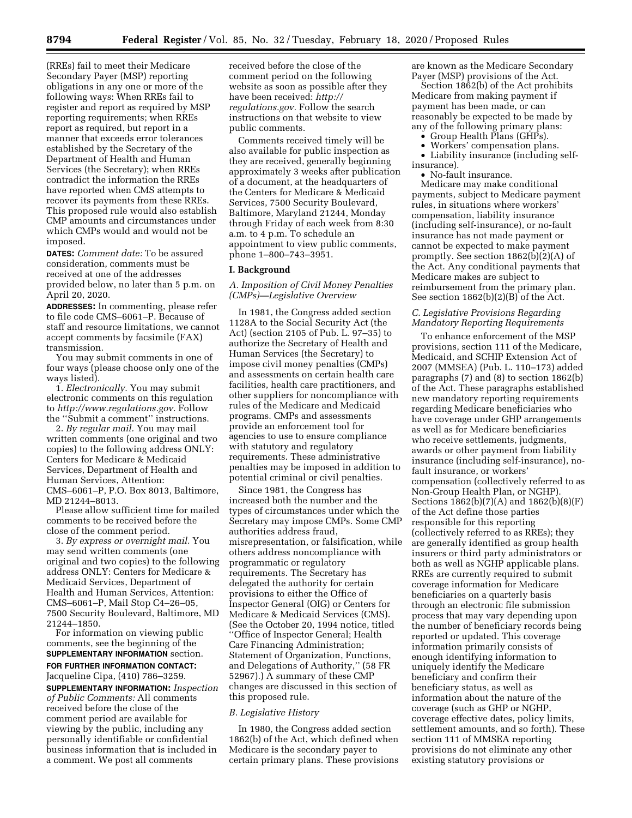(RREs) fail to meet their Medicare Secondary Payer (MSP) reporting obligations in any one or more of the following ways: When RREs fail to register and report as required by MSP reporting requirements; when RREs report as required, but report in a manner that exceeds error tolerances established by the Secretary of the Department of Health and Human Services (the Secretary); when RREs contradict the information the RREs have reported when CMS attempts to recover its payments from these RREs. This proposed rule would also establish CMP amounts and circumstances under which CMPs would and would not be imposed.

**DATES:** *Comment date:* To be assured consideration, comments must be received at one of the addresses provided below, no later than 5 p.m. on April 20, 2020.

**ADDRESSES:** In commenting, please refer to file code CMS–6061–P. Because of staff and resource limitations, we cannot accept comments by facsimile (FAX) transmission.

You may submit comments in one of four ways (please choose only one of the ways listed).

1. *Electronically.* You may submit electronic comments on this regulation to *[http://www.regulations.gov.](http://www.regulations.gov)* Follow the ''Submit a comment'' instructions.

2. *By regular mail.* You may mail written comments (one original and two copies) to the following address ONLY: Centers for Medicare & Medicaid Services, Department of Health and Human Services, Attention: CMS–6061–P, P.O. Box 8013, Baltimore, MD 21244–8013.

Please allow sufficient time for mailed comments to be received before the close of the comment period.

3. *By express or overnight mail.* You may send written comments (one original and two copies) to the following address ONLY: Centers for Medicare & Medicaid Services, Department of Health and Human Services, Attention: CMS–6061–P, Mail Stop C4–26–05, 7500 Security Boulevard, Baltimore, MD 21244–1850.

For information on viewing public comments, see the beginning of the **SUPPLEMENTARY INFORMATION** section. **FOR FURTHER INFORMATION CONTACT:**  Jacqueline Cipa, (410) 786–3259.

**SUPPLEMENTARY INFORMATION:** *Inspection of Public Comments:* All comments received before the close of the comment period are available for viewing by the public, including any personally identifiable or confidential business information that is included in a comment. We post all comments

received before the close of the comment period on the following website as soon as possible after they have been received: *[http://](http://regulations.gov) [regulations.gov.](http://regulations.gov)* Follow the search instructions on that website to view public comments.

Comments received timely will be also available for public inspection as they are received, generally beginning approximately 3 weeks after publication of a document, at the headquarters of the Centers for Medicare & Medicaid Services, 7500 Security Boulevard, Baltimore, Maryland 21244, Monday through Friday of each week from 8:30 a.m. to 4 p.m. To schedule an appointment to view public comments, phone 1–800–743–3951.

#### **I. Background**

*A. Imposition of Civil Money Penalties (CMPs)—Legislative Overview* 

In 1981, the Congress added section 1128A to the Social Security Act (the Act) (section 2105 of Pub. L. 97–35) to authorize the Secretary of Health and Human Services (the Secretary) to impose civil money penalties (CMPs) and assessments on certain health care facilities, health care practitioners, and other suppliers for noncompliance with rules of the Medicare and Medicaid programs. CMPs and assessments provide an enforcement tool for agencies to use to ensure compliance with statutory and regulatory requirements. These administrative penalties may be imposed in addition to potential criminal or civil penalties.

Since 1981, the Congress has increased both the number and the types of circumstances under which the Secretary may impose CMPs. Some CMP authorities address fraud, misrepresentation, or falsification, while others address noncompliance with programmatic or regulatory requirements. The Secretary has delegated the authority for certain provisions to either the Office of Inspector General (OIG) or Centers for Medicare & Medicaid Services (CMS). (See the October 20, 1994 notice, titled ''Office of Inspector General; Health Care Financing Administration; Statement of Organization, Functions, and Delegations of Authority,'' (58 FR 52967).) A summary of these CMP changes are discussed in this section of this proposed rule.

#### *B. Legislative History*

In 1980, the Congress added section 1862(b) of the Act, which defined when Medicare is the secondary payer to certain primary plans. These provisions are known as the Medicare Secondary Payer (MSP) provisions of the Act.

Section 1862(b) of the Act prohibits Medicare from making payment if payment has been made, or can reasonably be expected to be made by any of the following primary plans:

- Group Health Plans (GHPs).
- Workers' compensation plans.
- Liability insurance (including selfinsurance).

• No-fault insurance.

Medicare may make conditional payments, subject to Medicare payment rules, in situations where workers' compensation, liability insurance (including self-insurance), or no-fault insurance has not made payment or cannot be expected to make payment promptly. See section 1862(b)(2)(A) of the Act. Any conditional payments that Medicare makes are subject to reimbursement from the primary plan. See section 1862(b)(2)(B) of the Act.

## *C. Legislative Provisions Regarding Mandatory Reporting Requirements*

To enhance enforcement of the MSP provisions, section 111 of the Medicare, Medicaid, and SCHIP Extension Act of 2007 (MMSEA) (Pub. L. 110–173) added paragraphs (7) and (8) to section 1862(b) of the Act. These paragraphs established new mandatory reporting requirements regarding Medicare beneficiaries who have coverage under GHP arrangements as well as for Medicare beneficiaries who receive settlements, judgments, awards or other payment from liability insurance (including self-insurance), nofault insurance, or workers' compensation (collectively referred to as Non-Group Health Plan, or NGHP). Sections 1862(b)(7)(A) and 1862(b)(8)(F) of the Act define those parties responsible for this reporting (collectively referred to as RREs); they are generally identified as group health insurers or third party administrators or both as well as NGHP applicable plans. RREs are currently required to submit coverage information for Medicare beneficiaries on a quarterly basis through an electronic file submission process that may vary depending upon the number of beneficiary records being reported or updated. This coverage information primarily consists of enough identifying information to uniquely identify the Medicare beneficiary and confirm their beneficiary status, as well as information about the nature of the coverage (such as GHP or NGHP, coverage effective dates, policy limits, settlement amounts, and so forth). These section 111 of MMSEA reporting provisions do not eliminate any other existing statutory provisions or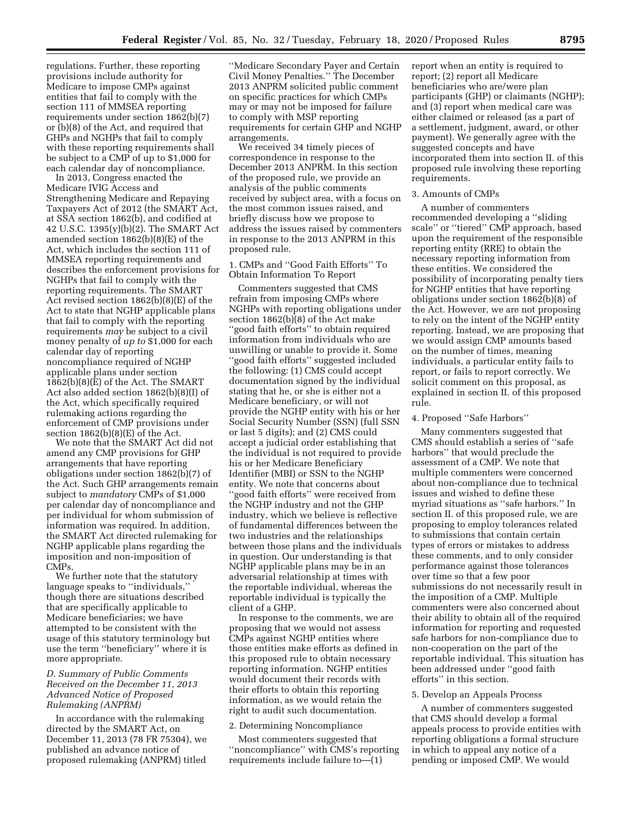regulations. Further, these reporting provisions include authority for Medicare to impose CMPs against entities that fail to comply with the section 111 of MMSEA reporting requirements under section 1862(b)(7) or (b)(8) of the Act, and required that GHPs and NGHPs that fail to comply with these reporting requirements shall be subject to a CMP of up to \$1,000 for each calendar day of noncompliance.

In 2013, Congress enacted the Medicare IVIG Access and Strengthening Medicare and Repaying Taxpayers Act of 2012 (the SMART Act, at SSA section 1862(b), and codified at 42 U.S.C. 1395(y)(b)(2). The SMART Act amended section 1862(b)(8)(E) of the Act, which includes the section 111 of MMSEA reporting requirements and describes the enforcement provisions for NGHPs that fail to comply with the reporting requirements. The SMART Act revised section 1862(b)(8)(E) of the Act to state that NGHP applicable plans that fail to comply with the reporting requirements *may* be subject to a civil money penalty of *up to* \$1,000 for each calendar day of reporting noncompliance required of NGHP applicable plans under section 1862(b)(8)(E) of the Act. The SMART Act also added section 1862(b)(8)(I) of the Act, which specifically required rulemaking actions regarding the enforcement of CMP provisions under section  $1862(b)(8)(E)$  of the Act.

We note that the SMART Act did not amend any CMP provisions for GHP arrangements that have reporting obligations under section 1862(b)(7) of the Act. Such GHP arrangements remain subject to *mandatory* CMPs of \$1,000 per calendar day of noncompliance and per individual for whom submission of information was required. In addition, the SMART Act directed rulemaking for NGHP applicable plans regarding the imposition and non-imposition of CMPs.

We further note that the statutory language speaks to "individuals," though there are situations described that are specifically applicable to Medicare beneficiaries; we have attempted to be consistent with the usage of this statutory terminology but use the term ''beneficiary'' where it is more appropriate.

## *D. Summary of Public Comments Received on the December 11, 2013 Advanced Notice of Proposed Rulemaking (ANPRM)*

In accordance with the rulemaking directed by the SMART Act, on December 11, 2013 (78 FR 75304), we published an advance notice of proposed rulemaking (ANPRM) titled

''Medicare Secondary Payer and Certain Civil Money Penalties.'' The December 2013 ANPRM solicited public comment on specific practices for which CMPs may or may not be imposed for failure to comply with MSP reporting requirements for certain GHP and NGHP arrangements.

We received 34 timely pieces of correspondence in response to the December 2013 ANPRM. In this section of the proposed rule, we provide an analysis of the public comments received by subject area, with a focus on the most common issues raised, and briefly discuss how we propose to address the issues raised by commenters in response to the 2013 ANPRM in this proposed rule.

### 1. CMPs and ''Good Faith Efforts'' To Obtain Information To Report

Commenters suggested that CMS refrain from imposing CMPs where NGHPs with reporting obligations under section 1862(b)(8) of the Act make ''good faith efforts'' to obtain required information from individuals who are unwilling or unable to provide it. Some ''good faith efforts'' suggested included the following: (1) CMS could accept documentation signed by the individual stating that he, or she is either not a Medicare beneficiary, or will not provide the NGHP entity with his or her Social Security Number (SSN) (full SSN or last 5 digits); and (2) CMS could accept a judicial order establishing that the individual is not required to provide his or her Medicare Beneficiary Identifier (MBI) or SSN to the NGHP entity. We note that concerns about ''good faith efforts'' were received from the NGHP industry and not the GHP industry, which we believe is reflective of fundamental differences between the two industries and the relationships between those plans and the individuals in question. Our understanding is that NGHP applicable plans may be in an adversarial relationship at times with the reportable individual, whereas the reportable individual is typically the client of a GHP.

In response to the comments, we are proposing that we would not assess CMPs against NGHP entities where those entities make efforts as defined in this proposed rule to obtain necessary reporting information. NGHP entities would document their records with their efforts to obtain this reporting information, as we would retain the right to audit such documentation.

#### 2. Determining Noncompliance

Most commenters suggested that ''noncompliance'' with CMS's reporting requirements include failure to—(1)

report when an entity is required to report; (2) report all Medicare beneficiaries who are/were plan participants (GHP) or claimants (NGHP); and (3) report when medical care was either claimed or released (as a part of a settlement, judgment, award, or other payment). We generally agree with the suggested concepts and have incorporated them into section II. of this proposed rule involving these reporting requirements.

## 3. Amounts of CMPs

A number of commenters recommended developing a ''sliding scale'' or ''tiered'' CMP approach, based upon the requirement of the responsible reporting entity (RRE) to obtain the necessary reporting information from these entities. We considered the possibility of incorporating penalty tiers for NGHP entities that have reporting obligations under section 1862(b)(8) of the Act. However, we are not proposing to rely on the intent of the NGHP entity reporting. Instead, we are proposing that we would assign CMP amounts based on the number of times, meaning individuals, a particular entity fails to report, or fails to report correctly. We solicit comment on this proposal, as explained in section II. of this proposed rule.

## 4. Proposed ''Safe Harbors''

Many commenters suggested that CMS should establish a series of ''safe harbors'' that would preclude the assessment of a CMP. We note that multiple commenters were concerned about non-compliance due to technical issues and wished to define these myriad situations as ''safe harbors.'' In section II. of this proposed rule, we are proposing to employ tolerances related to submissions that contain certain types of errors or mistakes to address these comments, and to only consider performance against those tolerances over time so that a few poor submissions do not necessarily result in the imposition of a CMP. Multiple commenters were also concerned about their ability to obtain all of the required information for reporting and requested safe harbors for non-compliance due to non-cooperation on the part of the reportable individual. This situation has been addressed under ''good faith efforts'' in this section.

#### 5. Develop an Appeals Process

A number of commenters suggested that CMS should develop a formal appeals process to provide entities with reporting obligations a formal structure in which to appeal any notice of a pending or imposed CMP. We would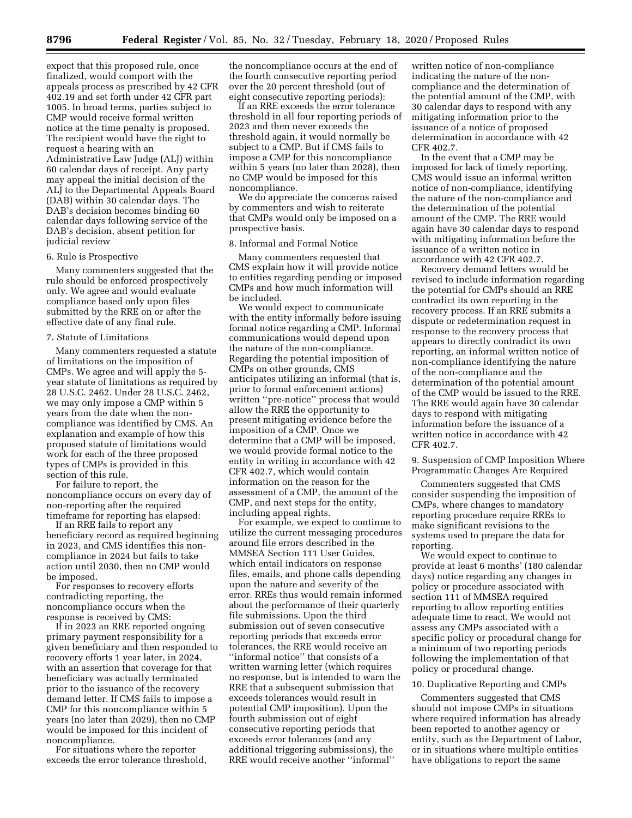expect that this proposed rule, once finalized, would comport with the appeals process as prescribed by 42 CFR 402.19 and set forth under 42 CFR part 1005. In broad terms, parties subject to CMP would receive formal written notice at the time penalty is proposed. The recipient would have the right to request a hearing with an Administrative Law Judge (ALJ) within 60 calendar days of receipt. Any party may appeal the initial decision of the ALJ to the Departmental Appeals Board (DAB) within 30 calendar days. The DAB's decision becomes binding 60 calendar days following service of the DAB's decision, absent petition for judicial review

# 6. Rule is Prospective

Many commenters suggested that the rule should be enforced prospectively only. We agree and would evaluate compliance based only upon files submitted by the RRE on or after the effective date of any final rule.

## 7. Statute of Limitations

Many commenters requested a statute of limitations on the imposition of CMPs. We agree and will apply the 5 year statute of limitations as required by 28 U.S.C. 2462. Under 28 U.S.C. 2462, we may only impose a CMP within 5 years from the date when the noncompliance was identified by CMS. An explanation and example of how this proposed statute of limitations would work for each of the three proposed types of CMPs is provided in this section of this rule.

For failure to report, the noncompliance occurs on every day of non-reporting after the required timeframe for reporting has elapsed:

If an RRE fails to report any beneficiary record as required beginning in 2023, and CMS identifies this noncompliance in 2024 but fails to take action until 2030, then no CMP would be imposed.

For responses to recovery efforts contradicting reporting, the noncompliance occurs when the response is received by CMS:

If in 2023 an RRE reported ongoing primary payment responsibility for a given beneficiary and then responded to recovery efforts 1 year later, in 2024, with an assertion that coverage for that beneficiary was actually terminated prior to the issuance of the recovery demand letter. If CMS fails to impose a CMP for this noncompliance within 5 years (no later than 2029), then no CMP would be imposed for this incident of noncompliance.

For situations where the reporter exceeds the error tolerance threshold, the noncompliance occurs at the end of the fourth consecutive reporting period over the 20 percent threshold (out of eight consecutive reporting periods):

If an RRE exceeds the error tolerance threshold in all four reporting periods of 2023 and then never exceeds the threshold again, it would normally be subject to a CMP. But if CMS fails to impose a CMP for this noncompliance within 5 years (no later than 2028), then no CMP would be imposed for this noncompliance.

We do appreciate the concerns raised by commenters and wish to reiterate that CMPs would only be imposed on a prospective basis.

# 8. Informal and Formal Notice

Many commenters requested that CMS explain how it will provide notice to entities regarding pending or imposed CMPs and how much information will be included.

We would expect to communicate with the entity informally before issuing formal notice regarding a CMP. Informal communications would depend upon the nature of the non-compliance. Regarding the potential imposition of CMPs on other grounds, CMS anticipates utilizing an informal (that is, prior to formal enforcement actions) written ''pre-notice'' process that would allow the RRE the opportunity to present mitigating evidence before the imposition of a CMP. Once we determine that a CMP will be imposed, we would provide formal notice to the entity in writing in accordance with 42 CFR 402.7, which would contain information on the reason for the assessment of a CMP, the amount of the CMP, and next steps for the entity, including appeal rights.

For example, we expect to continue to utilize the current messaging procedures around file errors described in the MMSEA Section 111 User Guides, which entail indicators on response files, emails, and phone calls depending upon the nature and severity of the error. RREs thus would remain informed about the performance of their quarterly file submissions. Upon the third submission out of seven consecutive reporting periods that exceeds error tolerances, the RRE would receive an ''informal notice'' that consists of a written warning letter (which requires no response, but is intended to warn the RRE that a subsequent submission that exceeds tolerances would result in potential CMP imposition). Upon the fourth submission out of eight consecutive reporting periods that exceeds error tolerances (and any additional triggering submissions), the RRE would receive another ''informal''

written notice of non-compliance indicating the nature of the noncompliance and the determination of the potential amount of the CMP, with 30 calendar days to respond with any mitigating information prior to the issuance of a notice of proposed determination in accordance with 42 CFR 402.7.

In the event that a CMP may be imposed for lack of timely reporting, CMS would issue an informal written notice of non-compliance, identifying the nature of the non-compliance and the determination of the potential amount of the CMP. The RRE would again have 30 calendar days to respond with mitigating information before the issuance of a written notice in accordance with 42 CFR 402.7.

Recovery demand letters would be revised to include information regarding the potential for CMPs should an RRE contradict its own reporting in the recovery process. If an RRE submits a dispute or redetermination request in response to the recovery process that appears to directly contradict its own reporting, an informal written notice of non-compliance identifying the nature of the non-compliance and the determination of the potential amount of the CMP would be issued to the RRE. The RRE would again have 30 calendar days to respond with mitigating information before the issuance of a written notice in accordance with 42 CFR 402.7.

9. Suspension of CMP Imposition Where Programmatic Changes Are Required

Commenters suggested that CMS consider suspending the imposition of CMPs, where changes to mandatory reporting procedure require RREs to make significant revisions to the systems used to prepare the data for reporting.

We would expect to continue to provide at least 6 months' (180 calendar days) notice regarding any changes in policy or procedure associated with section 111 of MMSEA required reporting to allow reporting entities adequate time to react. We would not assess any CMPs associated with a specific policy or procedural change for a minimum of two reporting periods following the implementation of that policy or procedural change.

## 10. Duplicative Reporting and CMPs

Commenters suggested that CMS should not impose CMPs in situations where required information has already been reported to another agency or entity, such as the Department of Labor, or in situations where multiple entities have obligations to report the same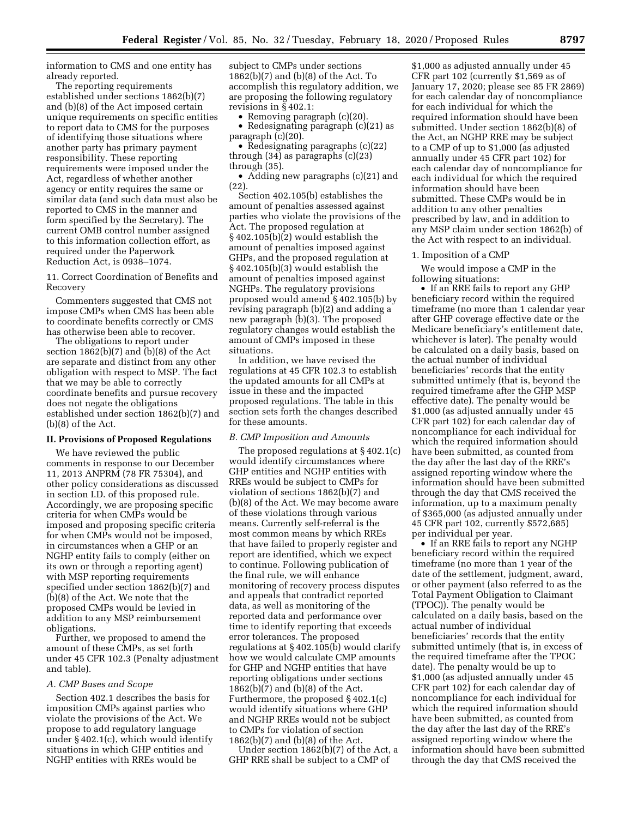information to CMS and one entity has already reported.

The reporting requirements established under sections 1862(b)(7) and (b)(8) of the Act imposed certain unique requirements on specific entities to report data to CMS for the purposes of identifying those situations where another party has primary payment responsibility. These reporting requirements were imposed under the Act, regardless of whether another agency or entity requires the same or similar data (and such data must also be reported to CMS in the manner and form specified by the Secretary). The current OMB control number assigned to this information collection effort, as required under the Paperwork Reduction Act, is 0938–1074.

11. Correct Coordination of Benefits and Recovery

Commenters suggested that CMS not impose CMPs when CMS has been able to coordinate benefits correctly or CMS has otherwise been able to recover.

The obligations to report under section  $1862(b)(7)$  and  $(b)(8)$  of the Act are separate and distinct from any other obligation with respect to MSP. The fact that we may be able to correctly coordinate benefits and pursue recovery does not negate the obligations established under section 1862(b)(7) and (b)(8) of the Act.

#### **II. Provisions of Proposed Regulations**

We have reviewed the public comments in response to our December 11, 2013 ANPRM (78 FR 75304), and other policy considerations as discussed in section I.D. of this proposed rule. Accordingly, we are proposing specific criteria for when CMPs would be imposed and proposing specific criteria for when CMPs would not be imposed, in circumstances when a GHP or an NGHP entity fails to comply (either on its own or through a reporting agent) with MSP reporting requirements specified under section 1862(b)(7) and (b)(8) of the Act. We note that the proposed CMPs would be levied in addition to any MSP reimbursement obligations.

Further, we proposed to amend the amount of these CMPs, as set forth under 45 CFR 102.3 (Penalty adjustment and table).

#### *A. CMP Bases and Scope*

Section 402.1 describes the basis for imposition CMPs against parties who violate the provisions of the Act. We propose to add regulatory language under § 402.1(c), which would identify situations in which GHP entities and NGHP entities with RREs would be

subject to CMPs under sections 1862(b)(7) and (b)(8) of the Act. To accomplish this regulatory addition, we are proposing the following regulatory revisions in § 402.1:

• Removing paragraph (c)(20).

• Redesignating paragraph (c)(21) as paragraph (c)(20).

• Redesignating paragraphs (c)(22) through (34) as paragraphs (c)(23) through (35).

• Adding new paragraphs (c)(21) and (22).

Section 402.105(b) establishes the amount of penalties assessed against parties who violate the provisions of the Act. The proposed regulation at § 402.105(b)(2) would establish the amount of penalties imposed against GHPs, and the proposed regulation at § 402.105(b)(3) would establish the amount of penalties imposed against NGHPs. The regulatory provisions proposed would amend § 402.105(b) by revising paragraph (b)(2) and adding a new paragraph (b)(3). The proposed regulatory changes would establish the amount of CMPs imposed in these situations.

In addition, we have revised the regulations at 45 CFR 102.3 to establish the updated amounts for all CMPs at issue in these and the impacted proposed regulations. The table in this section sets forth the changes described for these amounts.

#### *B. CMP Imposition and Amounts*

The proposed regulations at § 402.1(c) would identify circumstances where GHP entities and NGHP entities with RREs would be subject to CMPs for violation of sections 1862(b)(7) and (b)(8) of the Act. We may become aware of these violations through various means. Currently self-referral is the most common means by which RREs that have failed to properly register and report are identified, which we expect to continue. Following publication of the final rule, we will enhance monitoring of recovery process disputes and appeals that contradict reported data, as well as monitoring of the reported data and performance over time to identify reporting that exceeds error tolerances. The proposed regulations at § 402.105(b) would clarify how we would calculate CMP amounts for GHP and NGHP entities that have reporting obligations under sections 1862(b)(7) and (b)(8) of the Act. Furthermore, the proposed § 402.1(c) would identify situations where GHP and NGHP RREs would not be subject to CMPs for violation of section 1862(b)(7) and (b)(8) of the Act.

Under section 1862(b)(7) of the Act, a GHP RRE shall be subject to a CMP of

\$1,000 as adjusted annually under 45 CFR part 102 (currently \$1,569 as of January 17, 2020; please see 85 FR 2869) for each calendar day of noncompliance for each individual for which the required information should have been submitted. Under section 1862(b)(8) of the Act, an NGHP RRE may be subject to a CMP of up to \$1,000 (as adjusted annually under 45 CFR part 102) for each calendar day of noncompliance for each individual for which the required information should have been submitted. These CMPs would be in addition to any other penalties prescribed by law, and in addition to any MSP claim under section 1862(b) of the Act with respect to an individual.

#### 1. Imposition of a CMP

We would impose a CMP in the following situations:

• If an RRE fails to report any GHP beneficiary record within the required timeframe (no more than 1 calendar year after GHP coverage effective date or the Medicare beneficiary's entitlement date, whichever is later). The penalty would be calculated on a daily basis, based on the actual number of individual beneficiaries' records that the entity submitted untimely (that is, beyond the required timeframe after the GHP MSP effective date). The penalty would be \$1,000 (as adjusted annually under 45 CFR part 102) for each calendar day of noncompliance for each individual for which the required information should have been submitted, as counted from the day after the last day of the RRE's assigned reporting window where the information should have been submitted through the day that CMS received the information, up to a maximum penalty of \$365,000 (as adjusted annually under 45 CFR part 102, currently \$572,685) per individual per year.

• If an RRE fails to report any NGHP beneficiary record within the required timeframe (no more than 1 year of the date of the settlement, judgment, award, or other payment (also referred to as the Total Payment Obligation to Claimant (TPOC)). The penalty would be calculated on a daily basis, based on the actual number of individual beneficiaries' records that the entity submitted untimely (that is, in excess of the required timeframe after the TPOC date). The penalty would be up to \$1,000 (as adjusted annually under 45 CFR part 102) for each calendar day of noncompliance for each individual for which the required information should have been submitted, as counted from the day after the last day of the RRE's assigned reporting window where the information should have been submitted through the day that CMS received the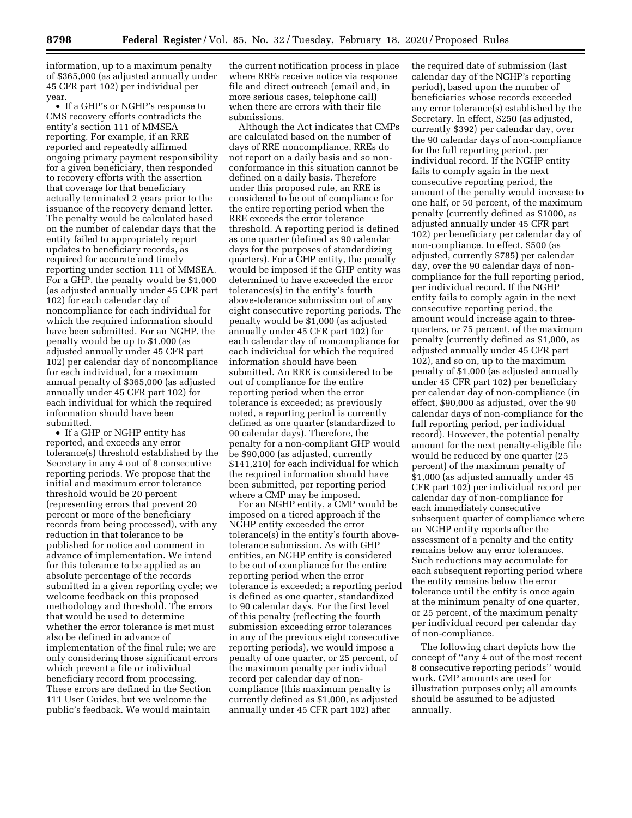information, up to a maximum penalty of \$365,000 (as adjusted annually under 45 CFR part 102) per individual per year.

• If a GHP's or NGHP's response to CMS recovery efforts contradicts the entity's section 111 of MMSEA reporting. For example, if an RRE reported and repeatedly affirmed ongoing primary payment responsibility for a given beneficiary, then responded to recovery efforts with the assertion that coverage for that beneficiary actually terminated 2 years prior to the issuance of the recovery demand letter. The penalty would be calculated based on the number of calendar days that the entity failed to appropriately report updates to beneficiary records, as required for accurate and timely reporting under section 111 of MMSEA. For a GHP, the penalty would be \$1,000 (as adjusted annually under 45 CFR part 102) for each calendar day of noncompliance for each individual for which the required information should have been submitted. For an NGHP, the penalty would be up to \$1,000 (as adjusted annually under 45 CFR part 102) per calendar day of noncompliance for each individual, for a maximum annual penalty of \$365,000 (as adjusted annually under 45 CFR part 102) for each individual for which the required information should have been submitted.

• If a GHP or NGHP entity has reported, and exceeds any error tolerance(s) threshold established by the Secretary in any 4 out of 8 consecutive reporting periods. We propose that the initial and maximum error tolerance threshold would be 20 percent (representing errors that prevent 20 percent or more of the beneficiary records from being processed), with any reduction in that tolerance to be published for notice and comment in advance of implementation. We intend for this tolerance to be applied as an absolute percentage of the records submitted in a given reporting cycle; we welcome feedback on this proposed methodology and threshold. The errors that would be used to determine whether the error tolerance is met must also be defined in advance of implementation of the final rule; we are only considering those significant errors which prevent a file or individual beneficiary record from processing. These errors are defined in the Section 111 User Guides, but we welcome the public's feedback. We would maintain

the current notification process in place where RREs receive notice via response file and direct outreach (email and, in more serious cases, telephone call) when there are errors with their file submissions.

Although the Act indicates that CMPs are calculated based on the number of days of RRE noncompliance, RREs do not report on a daily basis and so nonconformance in this situation cannot be defined on a daily basis. Therefore under this proposed rule, an RRE is considered to be out of compliance for the entire reporting period when the RRE exceeds the error tolerance threshold. A reporting period is defined as one quarter (defined as 90 calendar days for the purposes of standardizing quarters). For a GHP entity, the penalty would be imposed if the GHP entity was determined to have exceeded the error tolerances(s) in the entity's fourth above-tolerance submission out of any eight consecutive reporting periods. The penalty would be \$1,000 (as adjusted annually under 45 CFR part 102) for each calendar day of noncompliance for each individual for which the required information should have been submitted. An RRE is considered to be out of compliance for the entire reporting period when the error tolerance is exceeded; as previously noted, a reporting period is currently defined as one quarter (standardized to 90 calendar days). Therefore, the penalty for a non-compliant GHP would be \$90,000 (as adjusted, currently \$141,210) for each individual for which the required information should have been submitted, per reporting period where a CMP may be imposed.

For an NGHP entity, a CMP would be imposed on a tiered approach if the NGHP entity exceeded the error tolerance(s) in the entity's fourth abovetolerance submission. As with GHP entities, an NGHP entity is considered to be out of compliance for the entire reporting period when the error tolerance is exceeded; a reporting period is defined as one quarter, standardized to 90 calendar days. For the first level of this penalty (reflecting the fourth submission exceeding error tolerances in any of the previous eight consecutive reporting periods), we would impose a penalty of one quarter, or 25 percent, of the maximum penalty per individual record per calendar day of noncompliance (this maximum penalty is currently defined as \$1,000, as adjusted annually under 45 CFR part 102) after

the required date of submission (last calendar day of the NGHP's reporting period), based upon the number of beneficiaries whose records exceeded any error tolerance(s) established by the Secretary. In effect, \$250 (as adjusted, currently \$392) per calendar day, over the 90 calendar days of non-compliance for the full reporting period, per individual record. If the NGHP entity fails to comply again in the next consecutive reporting period, the amount of the penalty would increase to one half, or 50 percent, of the maximum penalty (currently defined as \$1000, as adjusted annually under 45 CFR part 102) per beneficiary per calendar day of non-compliance. In effect, \$500 (as adjusted, currently \$785) per calendar day, over the 90 calendar days of noncompliance for the full reporting period, per individual record. If the NGHP entity fails to comply again in the next consecutive reporting period, the amount would increase again to threequarters, or 75 percent, of the maximum penalty (currently defined as \$1,000, as adjusted annually under 45 CFR part 102), and so on, up to the maximum penalty of \$1,000 (as adjusted annually under 45 CFR part 102) per beneficiary per calendar day of non-compliance (in effect, \$90,000 as adjusted, over the 90 calendar days of non-compliance for the full reporting period, per individual record). However, the potential penalty amount for the next penalty-eligible file would be reduced by one quarter (25 percent) of the maximum penalty of \$1,000 (as adjusted annually under 45 CFR part 102) per individual record per calendar day of non-compliance for each immediately consecutive subsequent quarter of compliance where an NGHP entity reports after the assessment of a penalty and the entity remains below any error tolerances. Such reductions may accumulate for each subsequent reporting period where the entity remains below the error tolerance until the entity is once again at the minimum penalty of one quarter, or 25 percent, of the maximum penalty per individual record per calendar day of non-compliance.

The following chart depicts how the concept of ''any 4 out of the most recent 8 consecutive reporting periods'' would work. CMP amounts are used for illustration purposes only; all amounts should be assumed to be adjusted annually.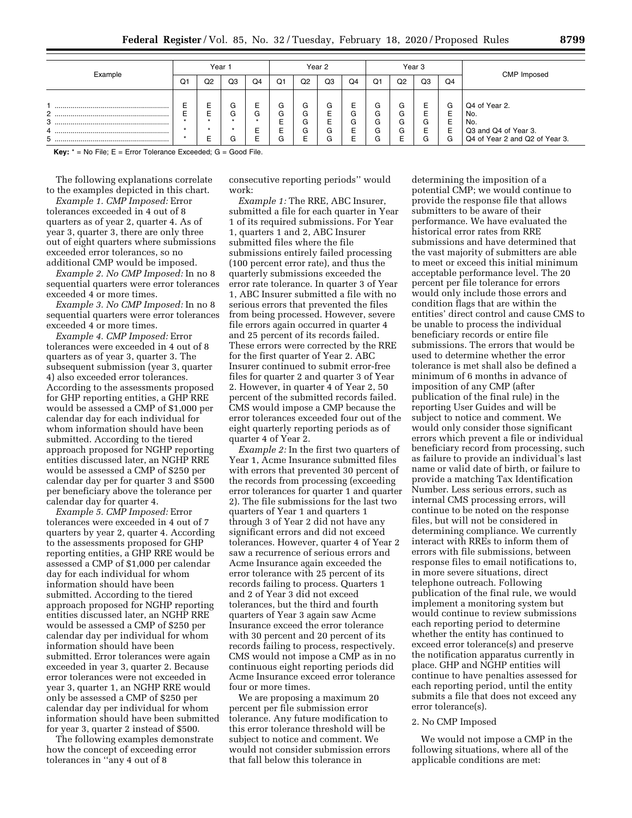| Example | Year 1 |                |        | Year 2 |                |                | Year <sub>3</sub> |    |        |                | CMP Imposed |                |                                |  |
|---------|--------|----------------|--------|--------|----------------|----------------|-------------------|----|--------|----------------|-------------|----------------|--------------------------------|--|
|         | Q1     | Q <sub>2</sub> | Q3     | Q4     | Q <sub>1</sub> | Q <sub>2</sub> | Q3                | Q4 | Q1     | O <sub>2</sub> | Q3          | Q <sub>4</sub> |                                |  |
|         |        | Е              | G      |        | G              | ⌒              | G                 | -  | G      | G              |             | G              | Q4 of Year 2.                  |  |
| C       |        | ⊢              | ⌒<br>G | G      | G              | G<br>⌒<br>G    |                   | G  | G      | G              |             | E              | No.                            |  |
| c<br>4  |        |                |        |        | ┕              | G<br>⌒<br>G    | G                 | G  | G<br>G | G<br>G         | G           | Е<br>Е         | No.<br>Q3 and Q4 of Year 3.    |  |
| 5       |        | -              | G      |        | G              | -              | ⌒<br>G            |    | G      | -              | ίŤ          | G              | Q4 of Year 2 and Q2 of Year 3. |  |

**Key:** \* = No File; E = Error Tolerance Exceeded; G = Good File.

The following explanations correlate to the examples depicted in this chart.

*Example 1. CMP Imposed:* Error tolerances exceeded in 4 out of 8 quarters as of year 2, quarter 4. As of year 3, quarter 3, there are only three out of eight quarters where submissions exceeded error tolerances, so no additional CMP would be imposed.

*Example 2. No CMP Imposed:* In no 8 sequential quarters were error tolerances exceeded 4 or more times.

*Example 3. No CMP Imposed:* In no 8 sequential quarters were error tolerances exceeded 4 or more times.

*Example 4. CMP Imposed:* Error tolerances were exceeded in 4 out of 8 quarters as of year 3, quarter 3. The subsequent submission (year 3, quarter 4) also exceeded error tolerances. According to the assessments proposed for GHP reporting entities, a GHP RRE would be assessed a CMP of \$1,000 per calendar day for each individual for whom information should have been submitted. According to the tiered approach proposed for NGHP reporting entities discussed later, an NGHP RRE would be assessed a CMP of \$250 per calendar day per for quarter 3 and \$500 per beneficiary above the tolerance per calendar day for quarter 4.

*Example 5. CMP Imposed:* Error tolerances were exceeded in 4 out of 7 quarters by year 2, quarter 4. According to the assessments proposed for GHP reporting entities, a GHP RRE would be assessed a CMP of \$1,000 per calendar day for each individual for whom information should have been submitted. According to the tiered approach proposed for NGHP reporting entities discussed later, an NGHP RRE would be assessed a CMP of \$250 per calendar day per individual for whom information should have been submitted. Error tolerances were again exceeded in year 3, quarter 2. Because error tolerances were not exceeded in year 3, quarter 1, an NGHP RRE would only be assessed a CMP of \$250 per calendar day per individual for whom information should have been submitted for year 3, quarter 2 instead of \$500.

The following examples demonstrate how the concept of exceeding error tolerances in ''any 4 out of 8

consecutive reporting periods'' would work:

*Example 1:* The RRE, ABC Insurer, submitted a file for each quarter in Year 1 of its required submissions. For Year 1, quarters 1 and 2, ABC Insurer submitted files where the file submissions entirely failed processing (100 percent error rate), and thus the quarterly submissions exceeded the error rate tolerance. In quarter 3 of Year 1, ABC Insurer submitted a file with no serious errors that prevented the files from being processed. However, severe file errors again occurred in quarter 4 and 25 percent of its records failed. These errors were corrected by the RRE for the first quarter of Year 2. ABC Insurer continued to submit error-free files for quarter 2 and quarter 3 of Year 2. However, in quarter 4 of Year 2, 50 percent of the submitted records failed. CMS would impose a CMP because the error tolerances exceeded four out of the eight quarterly reporting periods as of quarter 4 of Year 2.

*Example 2:* In the first two quarters of Year 1, Acme Insurance submitted files with errors that prevented 30 percent of the records from processing (exceeding error tolerances for quarter 1 and quarter 2). The file submissions for the last two quarters of Year 1 and quarters 1 through 3 of Year 2 did not have any significant errors and did not exceed tolerances. However, quarter 4 of Year 2 saw a recurrence of serious errors and Acme Insurance again exceeded the error tolerance with 25 percent of its records failing to process. Quarters 1 and 2 of Year 3 did not exceed tolerances, but the third and fourth quarters of Year 3 again saw Acme Insurance exceed the error tolerance with 30 percent and 20 percent of its records failing to process, respectively. CMS would not impose a CMP as in no continuous eight reporting periods did Acme Insurance exceed error tolerance four or more times.

We are proposing a maximum 20 percent per file submission error tolerance. Any future modification to this error tolerance threshold will be subject to notice and comment. We would not consider submission errors that fall below this tolerance in

determining the imposition of a potential CMP; we would continue to provide the response file that allows submitters to be aware of their performance. We have evaluated the historical error rates from RRE submissions and have determined that the vast majority of submitters are able to meet or exceed this initial minimum acceptable performance level. The 20 percent per file tolerance for errors would only include those errors and condition flags that are within the entities' direct control and cause CMS to be unable to process the individual beneficiary records or entire file submissions. The errors that would be used to determine whether the error tolerance is met shall also be defined a minimum of 6 months in advance of imposition of any CMP (after publication of the final rule) in the reporting User Guides and will be subject to notice and comment. We would only consider those significant errors which prevent a file or individual beneficiary record from processing, such as failure to provide an individual's last name or valid date of birth, or failure to provide a matching Tax Identification Number. Less serious errors, such as internal CMS processing errors, will continue to be noted on the response files, but will not be considered in determining compliance. We currently interact with RREs to inform them of errors with file submissions, between response files to email notifications to, in more severe situations, direct telephone outreach. Following publication of the final rule, we would implement a monitoring system but would continue to review submissions each reporting period to determine whether the entity has continued to exceed error tolerance(s) and preserve the notification apparatus currently in place. GHP and NGHP entities will continue to have penalties assessed for each reporting period, until the entity submits a file that does not exceed any error tolerance(s).

#### 2. No CMP Imposed

We would not impose a CMP in the following situations, where all of the applicable conditions are met: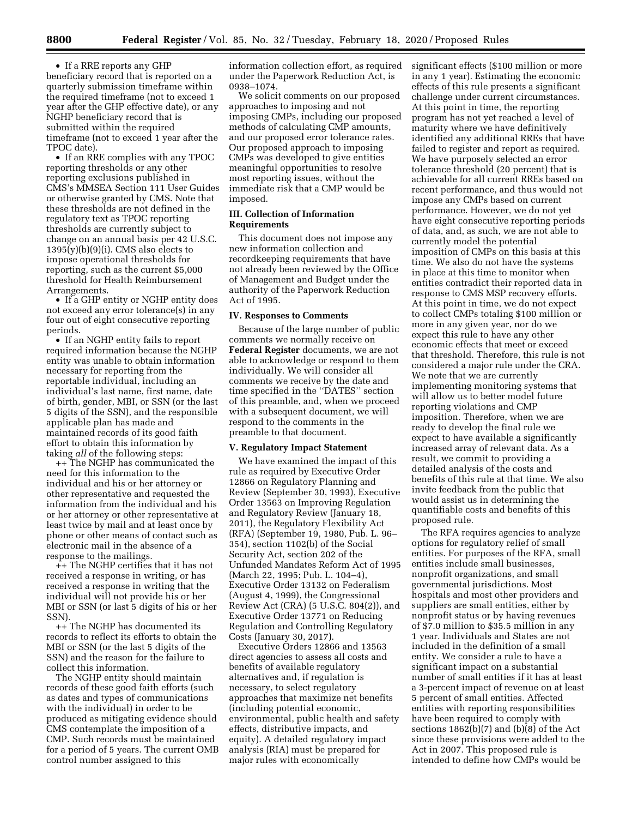• If a RRE reports any GHP beneficiary record that is reported on a quarterly submission timeframe within the required timeframe (not to exceed 1 year after the GHP effective date), or any NGHP beneficiary record that is submitted within the required timeframe (not to exceed 1 year after the TPOC date).

• If an RRE complies with any TPOC reporting thresholds or any other reporting exclusions published in CMS's MMSEA Section 111 User Guides or otherwise granted by CMS. Note that these thresholds are not defined in the regulatory text as TPOC reporting thresholds are currently subject to change on an annual basis per 42 U.S.C.  $1395(y)(b)(9)(i)$ . CMS also elects to impose operational thresholds for reporting, such as the current \$5,000 threshold for Health Reimbursement Arrangements.

• If a GHP entity or NGHP entity does not exceed any error tolerance(s) in any four out of eight consecutive reporting periods.

• If an NGHP entity fails to report required information because the NGHP entity was unable to obtain information necessary for reporting from the reportable individual, including an individual's last name, first name, date of birth, gender, MBI, or SSN (or the last 5 digits of the SSN), and the responsible applicable plan has made and maintained records of its good faith effort to obtain this information by taking *all* of the following steps:

++ The NGHP has communicated the need for this information to the individual and his or her attorney or other representative and requested the information from the individual and his or her attorney or other representative at least twice by mail and at least once by phone or other means of contact such as electronic mail in the absence of a response to the mailings.

++ The NGHP certifies that it has not received a response in writing, or has received a response in writing that the individual will not provide his or her MBI or SSN (or last 5 digits of his or her SSN).

++ The NGHP has documented its records to reflect its efforts to obtain the MBI or SSN (or the last 5 digits of the SSN) and the reason for the failure to collect this information.

The NGHP entity should maintain records of these good faith efforts (such as dates and types of communications with the individual) in order to be produced as mitigating evidence should CMS contemplate the imposition of a CMP. Such records must be maintained for a period of 5 years. The current OMB control number assigned to this

information collection effort, as required under the Paperwork Reduction Act, is 0938–1074.

We solicit comments on our proposed approaches to imposing and not imposing CMPs, including our proposed methods of calculating CMP amounts, and our proposed error tolerance rates. Our proposed approach to imposing CMPs was developed to give entities meaningful opportunities to resolve most reporting issues, without the immediate risk that a CMP would be imposed.

## **III. Collection of Information Requirements**

This document does not impose any new information collection and recordkeeping requirements that have not already been reviewed by the Office of Management and Budget under the authority of the Paperwork Reduction Act of 1995.

#### **IV. Responses to Comments**

Because of the large number of public comments we normally receive on **Federal Register** documents, we are not able to acknowledge or respond to them individually. We will consider all comments we receive by the date and time specified in the ''DATES'' section of this preamble, and, when we proceed with a subsequent document, we will respond to the comments in the preamble to that document.

#### **V. Regulatory Impact Statement**

We have examined the impact of this rule as required by Executive Order 12866 on Regulatory Planning and Review (September 30, 1993), Executive Order 13563 on Improving Regulation and Regulatory Review (January 18, 2011), the Regulatory Flexibility Act (RFA) (September 19, 1980, Pub. L. 96– 354), section 1102(b) of the Social Security Act, section 202 of the Unfunded Mandates Reform Act of 1995 (March 22, 1995; Pub. L. 104–4), Executive Order 13132 on Federalism (August 4, 1999), the Congressional Review Act (CRA) (5 U.S.C. 804(2)), and Executive Order 13771 on Reducing Regulation and Controlling Regulatory Costs (January 30, 2017).

Executive Orders 12866 and 13563 direct agencies to assess all costs and benefits of available regulatory alternatives and, if regulation is necessary, to select regulatory approaches that maximize net benefits (including potential economic, environmental, public health and safety effects, distributive impacts, and equity). A detailed regulatory impact analysis (RIA) must be prepared for major rules with economically

significant effects (\$100 million or more in any 1 year). Estimating the economic effects of this rule presents a significant challenge under current circumstances. At this point in time, the reporting program has not yet reached a level of maturity where we have definitively identified any additional RREs that have failed to register and report as required. We have purposely selected an error tolerance threshold (20 percent) that is achievable for all current RREs based on recent performance, and thus would not impose any CMPs based on current performance. However, we do not yet have eight consecutive reporting periods of data, and, as such, we are not able to currently model the potential imposition of CMPs on this basis at this time. We also do not have the systems in place at this time to monitor when entities contradict their reported data in response to CMS MSP recovery efforts. At this point in time, we do not expect to collect CMPs totaling \$100 million or more in any given year, nor do we expect this rule to have any other economic effects that meet or exceed that threshold. Therefore, this rule is not considered a major rule under the CRA. We note that we are currently implementing monitoring systems that will allow us to better model future reporting violations and CMP imposition. Therefore, when we are ready to develop the final rule we expect to have available a significantly increased array of relevant data. As a result, we commit to providing a detailed analysis of the costs and benefits of this rule at that time. We also invite feedback from the public that would assist us in determining the quantifiable costs and benefits of this proposed rule.

The RFA requires agencies to analyze options for regulatory relief of small entities. For purposes of the RFA, small entities include small businesses, nonprofit organizations, and small governmental jurisdictions. Most hospitals and most other providers and suppliers are small entities, either by nonprofit status or by having revenues of \$7.0 million to \$35.5 million in any 1 year. Individuals and States are not included in the definition of a small entity. We consider a rule to have a significant impact on a substantial number of small entities if it has at least a 3-percent impact of revenue on at least 5 percent of small entities. Affected entities with reporting responsibilities have been required to comply with sections 1862(b)(7) and (b)(8) of the Act since these provisions were added to the Act in 2007. This proposed rule is intended to define how CMPs would be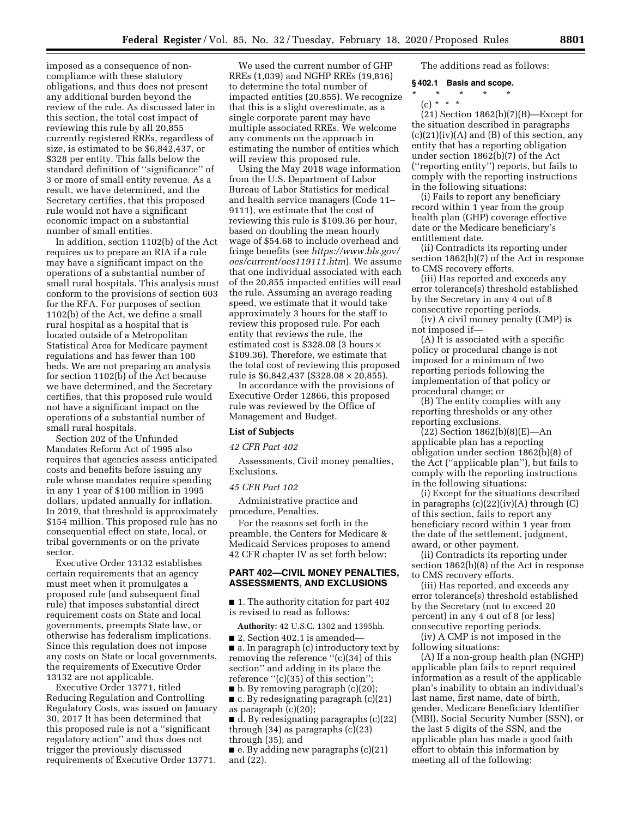imposed as a consequence of noncompliance with these statutory obligations, and thus does not present any additional burden beyond the review of the rule. As discussed later in this section, the total cost impact of reviewing this rule by all 20,855 currently registered RREs, regardless of size, is estimated to be \$6,842,437, or \$328 per entity. This falls below the standard definition of ''significance'' of 3 or more of small entity revenue. As a result, we have determined, and the Secretary certifies, that this proposed rule would not have a significant economic impact on a substantial number of small entities.

In addition, section 1102(b) of the Act requires us to prepare an RIA if a rule may have a significant impact on the operations of a substantial number of small rural hospitals. This analysis must conform to the provisions of section 603 for the RFA. For purposes of section 1102(b) of the Act, we define a small rural hospital as a hospital that is located outside of a Metropolitan Statistical Area for Medicare payment regulations and has fewer than 100 beds. We are not preparing an analysis for section 1102(b) of the Act because we have determined, and the Secretary certifies, that this proposed rule would not have a significant impact on the operations of a substantial number of small rural hospitals.

Section 202 of the Unfunded Mandates Reform Act of 1995 also requires that agencies assess anticipated costs and benefits before issuing any rule whose mandates require spending in any 1 year of \$100 million in 1995 dollars, updated annually for inflation. In 2019, that threshold is approximately \$154 million. This proposed rule has no consequential effect on state, local, or tribal governments or on the private sector.

Executive Order 13132 establishes certain requirements that an agency must meet when it promulgates a proposed rule (and subsequent final rule) that imposes substantial direct requirement costs on State and local governments, preempts State law, or otherwise has federalism implications. Since this regulation does not impose any costs on State or local governments, the requirements of Executive Order 13132 are not applicable.

Executive Order 13771, titled Reducing Regulation and Controlling Regulatory Costs, was issued on January 30, 2017 It has been determined that this proposed rule is not a ''significant regulatory action'' and thus does not trigger the previously discussed requirements of Executive Order 13771.

We used the current number of GHP RREs (1,039) and NGHP RREs (19,816) to determine the total number of impacted entities (20,855). We recognize that this is a slight overestimate, as a single corporate parent may have multiple associated RREs. We welcome any comments on the approach in estimating the number of entities which will review this proposed rule.

Using the May 2018 wage information from the U.S. Department of Labor Bureau of Labor Statistics for medical and health service managers (Code 11– 9111), we estimate that the cost of reviewing this rule is \$109.36 per hour, based on doubling the mean hourly wage of \$54.68 to include overhead and fringe benefits (see *[https://www.bls.gov/](https://www.bls.gov/oes/current/oes119111.htm) [oes/current/oes119111.htm](https://www.bls.gov/oes/current/oes119111.htm)*). We assume that one individual associated with each of the 20,855 impacted entities will read the rule. Assuming an average reading speed, we estimate that it would take approximately 3 hours for the staff to review this proposed rule. For each entity that reviews the rule, the estimated cost is \$328.08 (3 hours  $\times$ \$109.36). Therefore, we estimate that the total cost of reviewing this proposed rule is \$6,842,437 (\$328.08 × 20,855).

In accordance with the provisions of Executive Order 12866, this proposed rule was reviewed by the Office of Management and Budget.

#### **List of Subjects**

*42 CFR Part 402* 

Assessments, Civil money penalties, Exclusions.

#### *45 CFR Part 102*

Administrative practice and procedure, Penalties.

For the reasons set forth in the preamble, the Centers for Medicare & Medicaid Services proposes to amend 42 CFR chapter IV as set forth below:

# **PART 402—CIVIL MONEY PENALTIES, ASSESSMENTS, AND EXCLUSIONS**

■ 1. The authority citation for part 402 is revised to read as follows:

**Authority:** 42 U.S.C. 1302 and 1395hh.

■ 2. Section 402.1 is amended– ■ a. In paragraph (c) introductory text by removing the reference ''(c)(34) of this section'' and adding in its place the reference ''(c)(35) of this section'';

■ b. By removing paragraph (c)(20); ■ c. By redesignating paragraph (c)(21) as paragraph (c)(20);

■ d. By redesignating paragraphs (c)(22) through (34) as paragraphs (c)(23) through (35); and

■ e. By adding new paragraphs (c)(21) and (22).

The additions read as follows:

# **§ 402.1 Basis and scope.**

- \* \* \* \* \*
- $(c) * * * *$

 $(21)$  Section 1862(b)(7)(B)—Except for the situation described in paragraphs  $(c)(21)(iv)(A)$  and  $(B)$  of this section, any entity that has a reporting obligation under section 1862(b)(7) of the Act (''reporting entity'') reports, but fails to comply with the reporting instructions in the following situations:

(i) Fails to report any beneficiary record within 1 year from the group health plan (GHP) coverage effective date or the Medicare beneficiary's entitlement date.

(ii) Contradicts its reporting under section 1862(b)(7) of the Act in response to CMS recovery efforts.

(iii) Has reported and exceeds any error tolerance(s) threshold established by the Secretary in any 4 out of 8 consecutive reporting periods.

(iv) A civil money penalty (CMP) is not imposed if—

(A) It is associated with a specific policy or procedural change is not imposed for a minimum of two reporting periods following the implementation of that policy or procedural change; or

(B) The entity complies with any reporting thresholds or any other reporting exclusions.

(22) Section 1862(b)(8)(E)—An applicable plan has a reporting obligation under section 1862(b)(8) of the Act (''applicable plan''), but fails to comply with the reporting instructions in the following situations:

(i) Except for the situations described in paragraphs (c)(22)(iv)(A) through (C) of this section, fails to report any beneficiary record within 1 year from the date of the settlement, judgment, award, or other payment.

(ii) Contradicts its reporting under section 1862(b)(8) of the Act in response to CMS recovery efforts.

(iii) Has reported, and exceeds any error tolerance(s) threshold established by the Secretary (not to exceed 20 percent) in any 4 out of 8 (or less) consecutive reporting periods.

(iv) A CMP is not imposed in the following situations:

(A) If a non-group health plan (NGHP) applicable plan fails to report required information as a result of the applicable plan's inability to obtain an individual's last name, first name, date of birth, gender, Medicare Beneficiary Identifier (MBI), Social Security Number (SSN), or the last 5 digits of the SSN, and the applicable plan has made a good faith effort to obtain this information by meeting all of the following: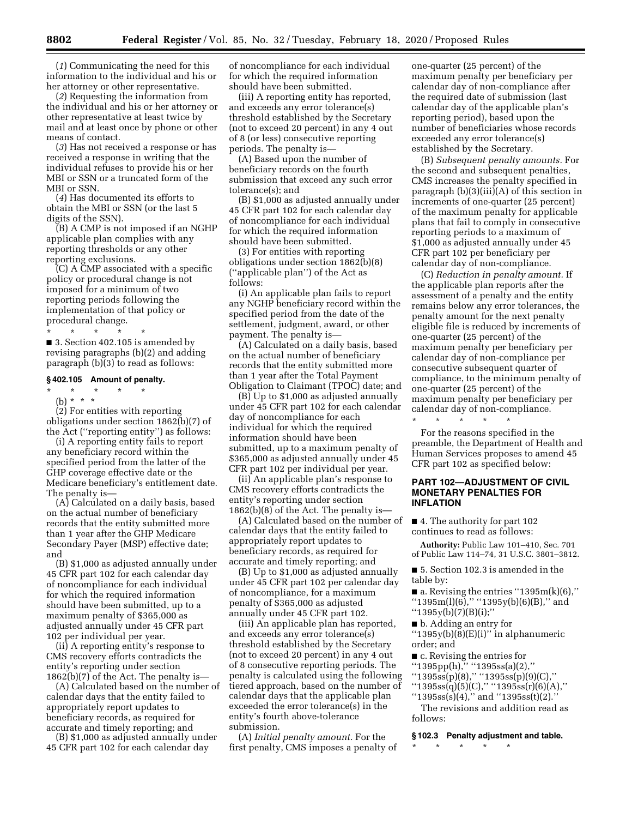(*1*) Communicating the need for this information to the individual and his or her attorney or other representative.

(*2*) Requesting the information from the individual and his or her attorney or other representative at least twice by mail and at least once by phone or other means of contact.

(*3*) Has not received a response or has received a response in writing that the individual refuses to provide his or her MBI or SSN or a truncated form of the MBI or SSN.

(*4*) Has documented its efforts to obtain the MBI or SSN (or the last 5 digits of the SSN).

(B) A CMP is not imposed if an NGHP applicable plan complies with any reporting thresholds or any other reporting exclusions.

(C) A CMP associated with a specific policy or procedural change is not imposed for a minimum of two reporting periods following the implementation of that policy or procedural change.

\* \* \* \* \*

■ 3. Section 402.105 is amended by revising paragraphs (b)(2) and adding paragraph (b)(3) to read as follows:

# **§ 402.105 Amount of penalty.**

\* \* \* \* \*

(b) \* \* \*

(2) For entities with reporting obligations under section 1862(b)(7) of the Act (''reporting entity'') as follows:

(i) A reporting entity fails to report any beneficiary record within the specified period from the latter of the GHP coverage effective date or the Medicare beneficiary's entitlement date. The penalty is—

(A) Calculated on a daily basis, based on the actual number of beneficiary records that the entity submitted more than 1 year after the GHP Medicare Secondary Payer (MSP) effective date; and

(B) \$1,000 as adjusted annually under 45 CFR part 102 for each calendar day of noncompliance for each individual for which the required information should have been submitted, up to a maximum penalty of \$365,000 as adjusted annually under 45 CFR part 102 per individual per year.

(ii) A reporting entity's response to CMS recovery efforts contradicts the entity's reporting under section 1862(b)(7) of the Act. The penalty is—

(A) Calculated based on the number of calendar days that the entity failed to appropriately report updates to beneficiary records, as required for accurate and timely reporting; and

(B) \$1,000 as adjusted annually under 45 CFR part 102 for each calendar day

of noncompliance for each individual for which the required information should have been submitted.

(iii) A reporting entity has reported, and exceeds any error tolerance(s) threshold established by the Secretary (not to exceed 20 percent) in any 4 out of 8 (or less) consecutive reporting periods. The penalty is—

(A) Based upon the number of beneficiary records on the fourth submission that exceed any such error tolerance(s); and

(B) \$1,000 as adjusted annually under 45 CFR part 102 for each calendar day of noncompliance for each individual for which the required information should have been submitted.

(3) For entities with reporting obligations under section 1862(b)(8) (''applicable plan'') of the Act as follows:

(i) An applicable plan fails to report any NGHP beneficiary record within the specified period from the date of the settlement, judgment, award, or other payment. The penalty is—

(A) Calculated on a daily basis, based on the actual number of beneficiary records that the entity submitted more than 1 year after the Total Payment Obligation to Claimant (TPOC) date; and

(B) Up to \$1,000 as adjusted annually under 45 CFR part 102 for each calendar day of noncompliance for each individual for which the required information should have been submitted, up to a maximum penalty of \$365,000 as adjusted annually under 45 CFR part 102 per individual per year.

(ii) An applicable plan's response to CMS recovery efforts contradicts the entity's reporting under section 1862(b)(8) of the Act. The penalty is—

(A) Calculated based on the number of calendar days that the entity failed to appropriately report updates to beneficiary records, as required for accurate and timely reporting; and

(B) Up to \$1,000 as adjusted annually under 45 CFR part 102 per calendar day of noncompliance, for a maximum penalty of \$365,000 as adjusted annually under 45 CFR part 102.

(iii) An applicable plan has reported, and exceeds any error tolerance(s) threshold established by the Secretary (not to exceed 20 percent) in any 4 out of 8 consecutive reporting periods. The penalty is calculated using the following tiered approach, based on the number of calendar days that the applicable plan exceeded the error tolerance(s) in the entity's fourth above-tolerance submission.

(A) *Initial penalty amount.* For the first penalty, CMS imposes a penalty of

one-quarter (25 percent) of the maximum penalty per beneficiary per calendar day of non-compliance after the required date of submission (last calendar day of the applicable plan's reporting period), based upon the number of beneficiaries whose records exceeded any error tolerance(s) established by the Secretary.

(B) *Subsequent penalty amounts.* For the second and subsequent penalties, CMS increases the penalty specified in paragraph (b)(3)(iii)(A) of this section in increments of one-quarter (25 percent) of the maximum penalty for applicable plans that fail to comply in consecutive reporting periods to a maximum of \$1,000 as adjusted annually under 45 CFR part 102 per beneficiary per calendar day of non-compliance.

(C) *Reduction in penalty amount.* If the applicable plan reports after the assessment of a penalty and the entity remains below any error tolerances, the penalty amount for the next penalty eligible file is reduced by increments of one-quarter (25 percent) of the maximum penalty per beneficiary per calendar day of non-compliance per consecutive subsequent quarter of compliance, to the minimum penalty of one-quarter (25 percent) of the maximum penalty per beneficiary per calendar day of non-compliance.

For the reasons specified in the preamble, the Department of Health and Human Services proposes to amend 45 CFR part 102 as specified below:

# **PART 102—ADJUSTMENT OF CIVIL MONETARY PENALTIES FOR INFLATION**

■ 4. The authority for part 102 continues to read as follows:

\* \* \* \* \*

**Authority:** Public Law 101–410, Sec. 701 of Public Law 114–74, 31 U.S.C. 3801–3812.

- 5. Section 102.3 is amended in the table by:
- $\blacksquare$  a. Revising the entries "1395m(k)(6),"
- " $1395m(l)(6)$ ," " $1395y(b)(6)(B)$ ," and ''1395y(b)(7)(B)(i);''
- b. Adding an entry for

 $``1395y(b)(8)(E)(i)"$  in alphanumeric order; and

- c. Revising the entries for
- $"1395pp(h)," "1395ss(a)(2),"$
- ''1395ss(p)(8),'' ''1395ss(p)(9)(C),''
- $"1395ss(q)(5)(C)$ ,"  $"1395ss(r)(6)(A)$ ,"
- $``1395ss(s)(4),''$  and  $``1395ss(t)(2).$

The revisions and addition read as follows:

#### **§ 102.3 Penalty adjustment and table.**

\* \* \* \* \*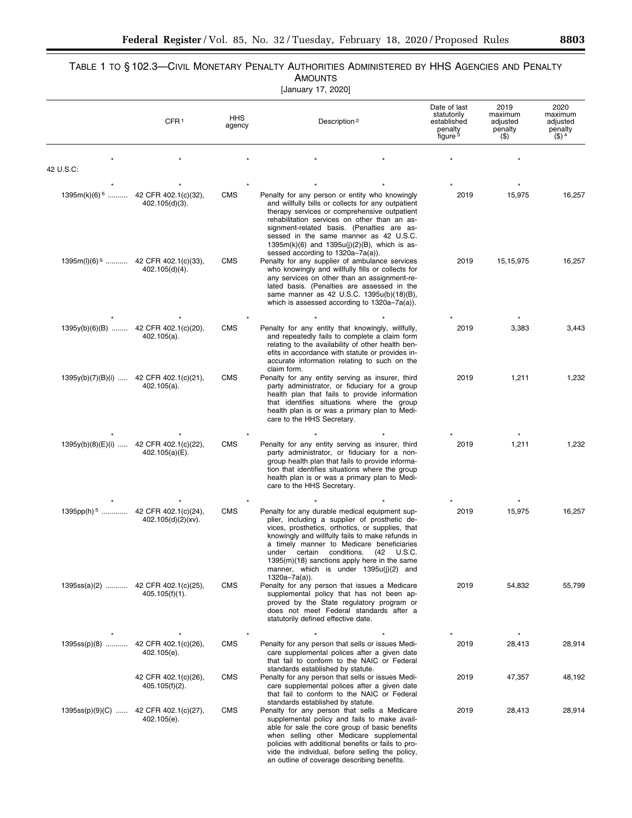# TABLE 1 TO § 102.3—CIVIL MONETARY PENALTY AUTHORITIES ADMINISTERED BY HHS AGENCIES AND PENALTY AMOUNTS

[January 17, 2020]

|           | CFR <sub>1</sub>                                                   | HHS<br>agency | Description <sup>2</sup>                                                                                                                                                                                                                                                                                                                                                                                                            | Date of last<br>statutorily<br>established<br>penalty<br>figure <sup>3</sup> | 2019<br>maximum<br>adjusted<br>penalty<br>$($ \$) | 2020<br>maximum<br>adjusted<br>penalty<br>$($ \$) $^{4}$ |
|-----------|--------------------------------------------------------------------|---------------|-------------------------------------------------------------------------------------------------------------------------------------------------------------------------------------------------------------------------------------------------------------------------------------------------------------------------------------------------------------------------------------------------------------------------------------|------------------------------------------------------------------------------|---------------------------------------------------|----------------------------------------------------------|
|           |                                                                    |               |                                                                                                                                                                                                                                                                                                                                                                                                                                     |                                                                              |                                                   |                                                          |
| 42 U.S.C: |                                                                    |               |                                                                                                                                                                                                                                                                                                                                                                                                                                     |                                                                              |                                                   |                                                          |
|           | 1395m(k)(6) <sup>5</sup> 42 CFR 402.1(c)(32),<br>$402.105(d)(3)$ . | <b>CMS</b>    | Penalty for any person or entity who knowingly<br>and willfully bills or collects for any outpatient<br>therapy services or comprehensive outpatient<br>rehabilitation services on other than an as-<br>signment-related basis. (Penalties are as-                                                                                                                                                                                  | 2019                                                                         | 15,975                                            | 16,257                                                   |
|           | 1395m(l)(6) <sup>5</sup> 42 CFR 402.1(c)(33),<br>$402.105(d)(4)$ . | <b>CMS</b>    | sessed in the same manner as 42 U.S.C.<br>$1395m(k)(6)$ and $1395u(j)(2)(B)$ , which is as-<br>sessed according to 1320a–7a(a)).<br>Penalty for any supplier of ambulance services<br>who knowingly and willfully fills or collects for<br>any services on other than an assignment-re-<br>lated basis. (Penalties are assessed in the<br>same manner as 42 U.S.C. 1395u(b)(18)(B),<br>which is assessed according to 1320a-7a(a)). | 2019                                                                         | 15, 15, 975                                       | 16,257                                                   |
|           | 1395y(b)(6)(B)  42 CFR 402.1(c)(20),<br>$402.105(a)$ .             | <b>CMS</b>    | Penalty for any entity that knowingly, willfully,<br>and repeatedly fails to complete a claim form<br>relating to the availability of other health ben-<br>efits in accordance with statute or provides in-<br>accurate information relating to such on the<br>claim form.                                                                                                                                                          | 2019                                                                         | 3,383                                             | 3,443                                                    |
|           | $1395y(b)(7)(B)(i)$ 42 CFR 402.1(c)(21),<br>$402.105(a)$ .         | <b>CMS</b>    | Penalty for any entity serving as insurer, third<br>party administrator, or fiduciary for a group<br>health plan that fails to provide information<br>that identifies situations where the group<br>health plan is or was a primary plan to Medi-<br>care to the HHS Secretary.                                                                                                                                                     | 2019                                                                         | 1,211                                             | 1,232                                                    |
|           | 1395y(b)(8)(E)(i)  42 CFR 402.1(c)(22),<br>402.105(a)(E).          | <b>CMS</b>    | Penalty for any entity serving as insurer, third<br>party administrator, or fiduciary for a non-<br>group health plan that fails to provide informa-<br>tion that identifies situations where the group<br>health plan is or was a primary plan to Medi-<br>care to the HHS Secretary.                                                                                                                                              | 2019                                                                         | 1,211                                             | 1,232                                                    |
|           | 1395pp(h) <sup>5</sup> 42 CFR 402.1(c)(24),<br>402.105(d)(2)(xv).  | <b>CMS</b>    | Penalty for any durable medical equipment sup-<br>plier, including a supplier of prosthetic de-<br>vices, prosthetics, orthotics, or supplies, that<br>knowingly and willfully fails to make refunds in<br>a timely manner to Medicare beneficiaries<br>under certain conditions. (42 U.S.C.<br>1395(m)(18) sanctions apply here in the same<br>manner, which is under 1395u(j)(2) and                                              | 2019                                                                         | 15,975                                            | 16,257                                                   |
|           | $1395ss(a)(2)$ 42 CFR 402.1(c)(25),<br>$405.105(f)(1)$ .           | <b>CMS</b>    | $1320a - 7a(a)$ ).<br>Penalty for any person that issues a Medicare<br>supplemental policy that has not been ap-<br>proved by the State regulatory program or<br>does not meet Federal standards after a<br>statutorily defined effective date.                                                                                                                                                                                     | 2019                                                                         | 54,832                                            | 55,799                                                   |
|           | 1395ss(p)(8)  42 CFR 402.1(c)(26),<br>402.105(e).                  | <b>CMS</b>    | Penalty for any person that sells or issues Medi-<br>care supplemental polices after a given date<br>that fail to conform to the NAIC or Federal                                                                                                                                                                                                                                                                                    | 2019                                                                         | $\star$<br>28,413                                 | 28,914                                                   |
|           | 42 CFR 402.1(c)(26),<br>$405.105(f)(2)$ .                          | <b>CMS</b>    | standards established by statute.<br>Penalty for any person that sells or issues Medi-<br>care supplemental polices after a given date<br>that fail to conform to the NAIC or Federal                                                                                                                                                                                                                                               | 2019                                                                         | 47,357                                            | 48,192                                                   |
|           | $1395ss(p)(9)(C)$ 42 CFR 402.1(c)(27),<br>$402.105(e)$ .           | <b>CMS</b>    | standards established by statute.<br>Penalty for any person that sells a Medicare<br>supplemental policy and fails to make avail-<br>able for sale the core group of basic benefits<br>when selling other Medicare supplemental<br>policies with additional benefits or fails to pro-<br>vide the individual, before selling the policy,                                                                                            | 2019                                                                         | 28,413                                            | 28,914                                                   |

an outline of coverage describing benefits.